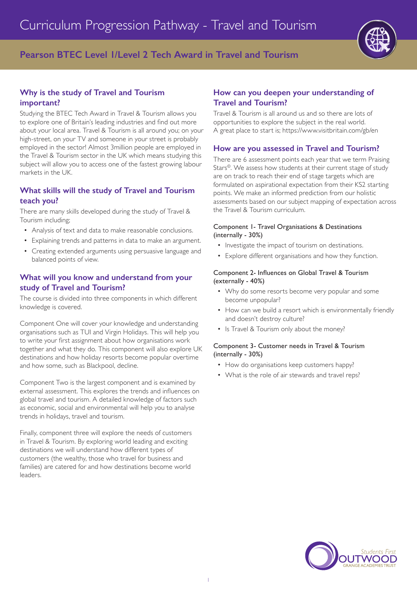# **Pearson BTEC Level 1/Level 2 Tech Award in Travel and Tourism**

## **Why is the study of Travel and Tourism important?**

Studying the BTEC Tech Award in Travel & Tourism allows you to explore one of Britain's leading industries and find out more about your local area. Travel & Tourism is all around you; on your high-street, on your TV and someone in your street is probably employed in the sector! Almost 3million people are employed in the Travel & Tourism sector in the UK which means studying this subject will allow you to access one of the fastest growing labour markets in the UK.

## **What skills will the study of Travel and Tourism teach you?**

There are many skills developed during the study of Travel & Tourism including;

- Analysis of text and data to make reasonable conclusions.
- Explaining trends and patterns in data to make an argument.
- Creating extended arguments using persuasive language and balanced points of view.

## **What will you know and understand from your study of Travel and Tourism?**

The course is divided into three components in which different knowledge is covered.

Component One will cover your knowledge and understanding organisations such as TUI and Virgin Holidays. This will help you to write your first assignment about how organisations work together and what they do. This component will also explore UK destinations and how holiday resorts become popular overtime and how some, such as Blackpool, decline.

Component Two is the largest component and is examined by external assessment. This explores the trends and influences on global travel and tourism. A detailed knowledge of factors such as economic, social and environmental will help you to analyse trends in holidays, travel and tourism.

Finally, component three will explore the needs of customers in Travel & Tourism. By exploring world leading and exciting destinations we will understand how different types of customers (the wealthy, those who travel for business and families) are catered for and how destinations become world leaders.

## **How can you deepen your understanding of Travel and Tourism?**

Travel & Tourism is all around us and so there are lots of opportunities to explore the subject in the real world. A great place to start is; https://www.visitbritain.com/gb/en

## **How are you assessed in Travel and Tourism?**

There are 6 assessment points each year that we term Praising Stars©. We assess how students at their current stage of study are on track to reach their end of stage targets which are formulated on aspirational expectation from their KS2 starting points. We make an informed prediction from our holistic assessments based on our subject mapping of expectation across the Travel & Tourism curriculum.

### Component 1- Travel Organisations & Destinations (internally - 30%)

- Investigate the impact of tourism on destinations.
- Explore different organisations and how they function.

#### Component 2- Influences on Global Travel & Tourism (externally - 40%)

- Why do some resorts become very popular and some become unpopular?
- How can we build a resort which is environmentally friendly and doesn't destroy culture?
- Is Travel & Tourism only about the money?

### Component 3- Customer needs in Travel & Tourism (internally - 30%)

- How do organisations keep customers happy?
- What is the role of air stewards and travel reps?

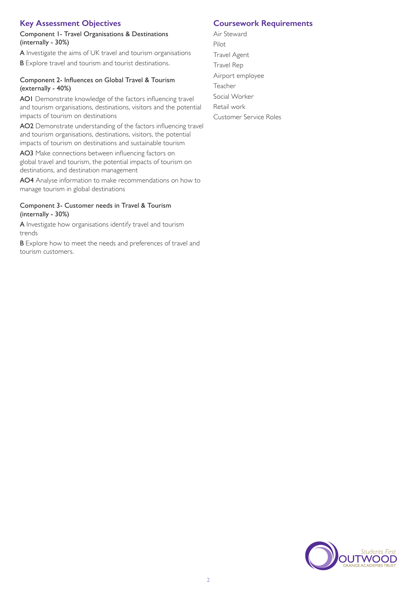## **Key Assessment Objectives**

### Component 1- Travel Organisations & Destinations (internally - 30%)

A Investigate the aims of UK travel and tourism organisations

**B** Explore travel and tourism and tourist destinations.

### Component 2- Influences on Global Travel & Tourism (externally - 40%)

AOI Demonstrate knowledge of the factors influencing travel and tourism organisations, destinations, visitors and the potential impacts of tourism on destinations

AO2 Demonstrate understanding of the factors influencing travel and tourism organisations, destinations, visitors, the potential impacts of tourism on destinations and sustainable tourism

AO3 Make connections between influencing factors on global travel and tourism, the potential impacts of tourism on destinations, and destination management

AO4 Analyse information to make recommendations on how to manage tourism in global destinations

#### Component 3- Customer needs in Travel & Tourism (internally - 30%)

A Investigate how organisations identify travel and tourism trends

**B** Explore how to meet the needs and preferences of travel and tourism customers.

## **Coursework Requirements**

Air Steward Pilot Travel Agent Travel Rep Airport employee Teacher Social Worker Retail work Customer Service Roles